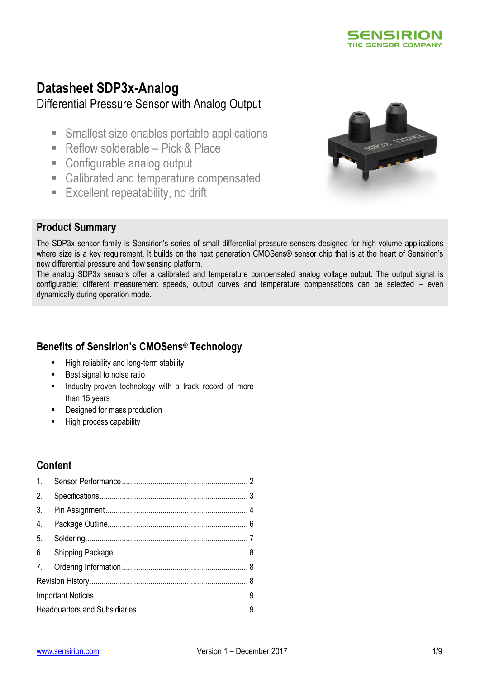

# **Datasheet SDP3x-Analog**

# Differential Pressure Sensor with Analog Output

- **Smallest size enables portable applications**
- Reflow solderable Pick  $\&$  Place
- Configurable analog output
- Calibrated and temperature compensated
- **Excellent repeatability, no drift**



### **Product Summary**

The SDP3x sensor family is Sensirion's series of small differential pressure sensors designed for high-volume applications where size is a key requirement. It builds on the next generation CMOSens® sensor chip that is at the heart of Sensirion's new differential pressure and flow sensing platform.

The analog SDP3x sensors offer a calibrated and temperature compensated analog voltage output. The output signal is configurable: different measurement speeds, output curves and temperature compensations can be selected – even dynamically during operation mode.

## **Benefits of Sensirion's CMOSens® Technology**

- **High reliability and long-term stability**
- **Best signal to noise ratio**
- Industry-proven technology with a track record of more than 15 years
- Designed for mass production
- High process capability

## **Content**

| 4. |  |  |  |  |  |  |
|----|--|--|--|--|--|--|
|    |  |  |  |  |  |  |
|    |  |  |  |  |  |  |
|    |  |  |  |  |  |  |
|    |  |  |  |  |  |  |
|    |  |  |  |  |  |  |
|    |  |  |  |  |  |  |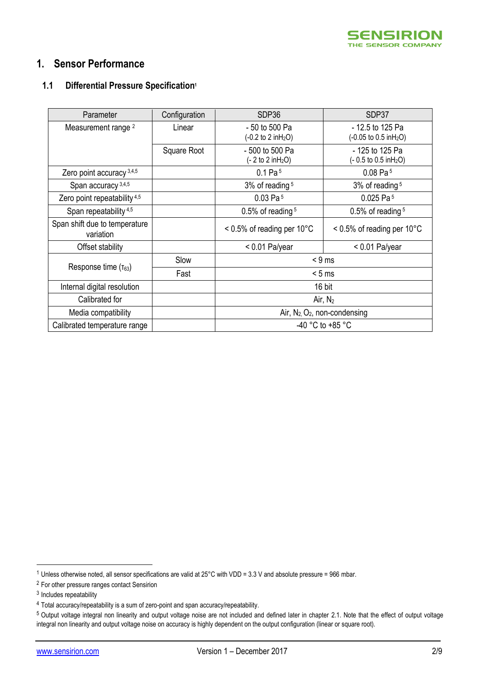

### <span id="page-1-0"></span>**1. Sensor Performance**

### **1.1 Differential Pressure Specification<sup>1</sup>**

<span id="page-1-3"></span><span id="page-1-2"></span><span id="page-1-1"></span>

| Parameter                                  | Configuration | SDP36                                                     | SDP37                                                        |  |
|--------------------------------------------|---------------|-----------------------------------------------------------|--------------------------------------------------------------|--|
| Measurement range <sup>2</sup>             | Linear        | - 50 to 500 Pa<br>$(-0.2 \text{ to } 2 \text{ in } H_2O)$ | - 12.5 to 125 Pa<br>(-0.05 to 0.5 inH <sub>2</sub> O)        |  |
|                                            | Square Root   | - 500 to 500 Pa<br>$(-2 to 2 in H2O)$                     | - 125 to 125 Pa<br>$(-0.5 \text{ to } 0.5 \text{ in } H_2O)$ |  |
| Zero point accuracy 3,4,5                  |               | 0.1 Pa <sup>5</sup>                                       | $0.08$ Pa <sup>5</sup>                                       |  |
| Span accuracy <sup>3,4,5</sup>             |               | $3\%$ of reading $5$                                      | 3% of reading <sup>5</sup>                                   |  |
| Zero point repeatability 4,5               |               | $0.03$ Pa <sup>5</sup>                                    | $0.025$ Pa <sup>5</sup>                                      |  |
| Span repeatability <sup>4,5</sup>          |               | $0.5\%$ of reading $5$                                    | $0.5\%$ of reading $5$                                       |  |
| Span shift due to temperature<br>variation |               | $< 0.5\%$ of reading per 10 $^{\circ}$ C                  | $< 0.5\%$ of reading per 10 $^{\circ}$ C                     |  |
| Offset stability                           |               | $< 0.01$ Pa/year                                          | $< 0.01$ Pa/year                                             |  |
|                                            | Slow          | $< 9$ ms                                                  |                                                              |  |
| Response time $(\tau_{63})$                | Fast          | < 5 ms                                                    |                                                              |  |
| Internal digital resolution                |               |                                                           | 16 bit                                                       |  |
| Calibrated for                             |               |                                                           | Air, $N_2$                                                   |  |
| Media compatibility                        |               | Air, $N_2$ , $O_2$ , non-condensing                       |                                                              |  |
| Calibrated temperature range               |               | -40 °C to +85 °C                                          |                                                              |  |

<u>.</u>

<sup>1</sup> Unless otherwise noted, all sensor specifications are valid at 25°C with VDD = 3.3 V and absolute pressure = 966 mbar.

<sup>2</sup> For other pressure ranges contact Sensirion

<sup>&</sup>lt;sup>3</sup> Includes repeatability

<sup>4</sup> Total accuracy/repeatability is a sum of zero-point and span accuracy/repeatability.

<sup>&</sup>lt;sup>5</sup> Output voltage integral non linearity and output voltage noise are not included and defined later in chapter [2.1.](#page-2-1) Note that the effect of output voltage integral non linearity and output voltage noise on accuracy is highly dependent on the output configuration (linear or square root).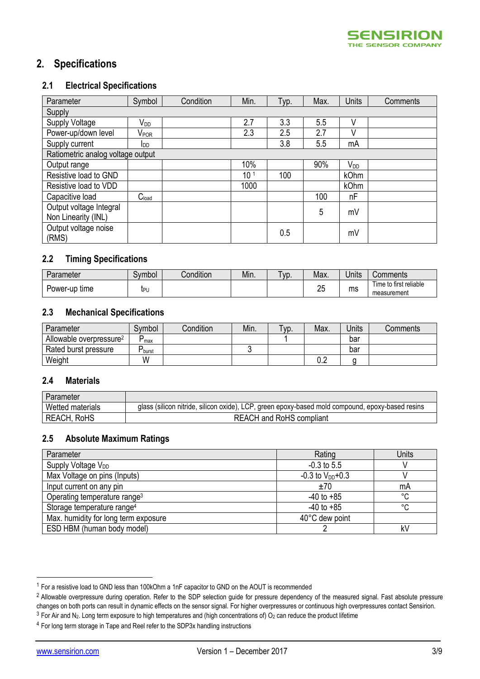### <span id="page-2-0"></span>**2. Specifications**

#### <span id="page-2-1"></span>**2.1 Electrical Specifications**

| Parameter                         | Symbol                    | Condition | Min.            | Typ. | Max. | <b>Units</b>    | Comments |
|-----------------------------------|---------------------------|-----------|-----------------|------|------|-----------------|----------|
| Supply                            |                           |           |                 |      |      |                 |          |
| Supply Voltage                    | V <sub>DD</sub>           |           | 2.7             | 3.3  | 5.5  | V               |          |
| Power-up/down level               | $\mathsf{V}_\mathsf{POR}$ |           | 2.3             | 2.5  | 2.7  |                 |          |
| Supply current                    | <b>I</b> DD               |           |                 | 3.8  | 5.5  | mA              |          |
| Ratiometric analog voltage output |                           |           |                 |      |      |                 |          |
| Output range                      |                           |           | 10%             |      | 90%  | V <sub>DD</sub> |          |
| Resistive load to GND             |                           |           | 10 <sup>1</sup> | 100  |      | kOhm            |          |
| Resistive load to VDD             |                           |           | 1000            |      |      | <b>kOhm</b>     |          |
| Capacitive load                   | C <sub>load</sub>         |           |                 |      | 100  | nF              |          |
| Output voltage Integral           |                           |           |                 |      | 5    | mV              |          |
| Non Linearity (INL)               |                           |           |                 |      |      |                 |          |
| Output voltage noise              |                           |           |                 | 0.5  |      | mV              |          |
| (RMS)                             |                           |           |                 |      |      |                 |          |

#### **2.2 Timing Specifications**

| Parameter        | Svmbol | Condition | Min. | VD. | Max.     | Units | Comments                              |
|------------------|--------|-----------|------|-----|----------|-------|---------------------------------------|
| Power-up<br>tıme | ĮΡι    |           |      |     | ባር<br>Lv | ms    | Time to first reliable<br>measurement |

#### **2.3 Mechanical Specifications**

| Parameter                           | Symbol     | Condition | Min. | Тур. | Max. | Jnits | Comments |
|-------------------------------------|------------|-----------|------|------|------|-------|----------|
| Allowable overpressure <sup>2</sup> | max        |           |      |      |      | bar   |          |
| Rated burst pressure                | L<br>burst |           |      |      |      | bar   |          |
| Weight                              | W          |           |      |      | ◡.∠  |       |          |

#### **2.4 Materials**

| Parameter          |                                                                                                  |
|--------------------|--------------------------------------------------------------------------------------------------|
| Wetted materials   | glass (silicon nitride, silicon oxide), LCP, green epoxy-based mold compound, epoxy-based resins |
| <b>REACH, RoHS</b> | <b>REACH and RoHS compliant</b>                                                                  |

#### **2.5 Absolute Maximum Ratings**

| Parameter                                | Rating                 | Units |
|------------------------------------------|------------------------|-------|
| Supply Voltage V <sub>DD</sub>           | $-0.3$ to 5.5          |       |
| Max Voltage on pins (Inputs)             | $-0.3$ to $V_{DD}+0.3$ |       |
| Input current on any pin                 | ±70                    | mA    |
| Operating temperature range <sup>3</sup> | $-40$ to $+85$         | °C    |
| Storage temperature range <sup>4</sup>   | $-40$ to $+85$         | °C    |
| Max. humidity for long term exposure     | 40°C dew point         |       |
| ESD HBM (human body model)               |                        | k٧    |

<u>.</u>

<sup>1</sup> For a resistive load to GND less than 100kOhm a 1nF capacitor to GND on the AOUT is recommended

<sup>&</sup>lt;sup>2</sup> Allowable overpressure during operation. Refer to the SDP selection guide for pressure dependency of the measured signal. Fast absolute pressure changes on both ports can result in dynamic effects on the sensor signal. For higher overpressures or continuous high overpressures contact Sensirion.

 $3$  For Air and N<sub>2</sub>. Long term exposure to high temperatures and (high concentrations of) O<sub>2</sub> can reduce the product lifetime

<sup>4</sup> For long term storage in Tape and Reel refer to the SDP3x handling instructions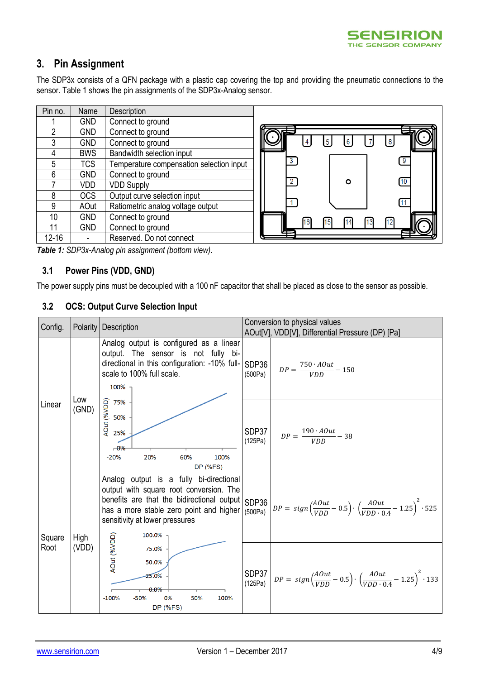

## <span id="page-3-0"></span>**3. Pin Assignment**

The SDP3x consists of a QFN package with a plastic cap covering the top and providing the pneumatic connections to the sensor[. Table 1](#page-3-1) shows the pin assignments of the SDP3x-Analog sensor.

| Pin no.        | Name       | Description                              |
|----------------|------------|------------------------------------------|
|                | <b>GND</b> | Connect to ground                        |
| $\overline{2}$ | <b>GND</b> | Connect to ground                        |
| 3              | <b>GND</b> | Connect to ground                        |
| 4              | <b>BWS</b> | Bandwidth selection input                |
| 5              | <b>TCS</b> | Temperature compensation selection input |
| 6              | <b>GND</b> | Connect to ground                        |
| 7              | <b>VDD</b> | <b>VDD Supply</b>                        |
| 8              | <b>OCS</b> | Output curve selection input             |
| 9              | AOut       | Ratiometric analog voltage output        |
| 10             | <b>GND</b> | Connect to ground                        |
| 11             | <b>GND</b> | Connect to ground                        |
| $12 - 16$      |            | Reserved. Do not connect                 |



<span id="page-3-1"></span>*Table 1: SDP3x-Analog pin assignment (bottom view).*

### **3.1 Power Pins (VDD, GND)**

<span id="page-3-2"></span>The power supply pins must be decoupled with a 100 nF capacitor that shall be placed as close to the sensor as possible.

#### **3.2 OCS: Output Curve Selection Input**

| Config.        |               | Polarity   Description                                                                                                                                                                                                                  | Conversion to physical values |                                                                                                                 |  |  |
|----------------|---------------|-----------------------------------------------------------------------------------------------------------------------------------------------------------------------------------------------------------------------------------------|-------------------------------|-----------------------------------------------------------------------------------------------------------------|--|--|
|                |               | Analog output is configured as a linear<br>output. The sensor is not fully bi-<br>directional in this configuration: -10% full- SDP36<br>scale to 100% full scale.<br>100%                                                              | (500Pa)                       | AOut[V], VDD[V], Differential Pressure (DP) [Pa]<br>$DP = \frac{750 \cdot AOut}{VDD} - 150$                     |  |  |
| Linear         | Low<br>(GND)  | G 75%<br>Se 50%<br>To 25%<br>$-0\%$<br>$-20%$<br>20%<br>60%<br>100%<br><b>DP (%FS)</b>                                                                                                                                                  | SDP37<br>(125Pa)              | $DP = \frac{190 \cdot AOut}{VDD} - 38$                                                                          |  |  |
| Square<br>Root | High<br>(VDD) | Analog output is a fully bi-directional<br>output with square root conversion. The<br>benefits are that the bidirectional output SDP36<br>has a more stable zero point and higher $(500Pa)$<br>sensitivity at lower pressures<br>100.0% |                               | $DP = sign\left(\frac{AOut}{VDD} - 0.5\right) \cdot \left(\frac{AOut}{VDD \cdot 0.4} - 1.25\right)^2 \cdot 525$ |  |  |
|                |               | AOut (%VDD)<br>75.0%<br>50.0%<br>25.0%<br>0.0%<br>0%<br>$-100%$<br>$-50%$<br>50%<br>100%<br><b>DP (%FS)</b>                                                                                                                             | SDP37<br>(125Pa)              | $DP = sign\left(\frac{AOut}{VDD} - 0.5\right) \cdot \left(\frac{AOut}{VDD \cdot 0.4} - 1.25\right)^2 \cdot 133$ |  |  |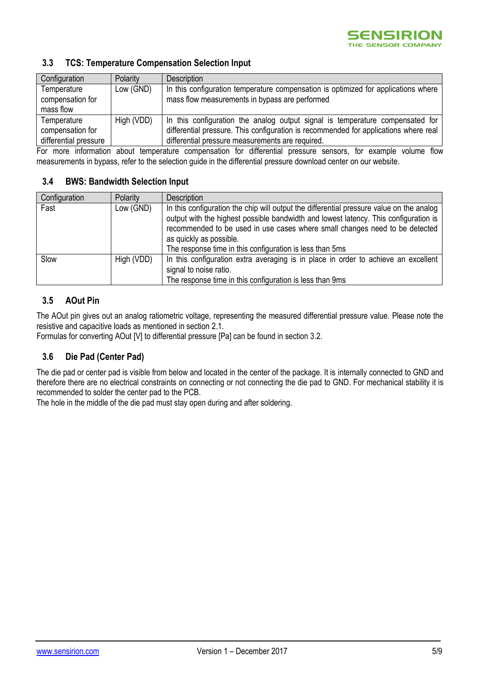#### **3.3 TCS: Temperature Compensation Selection Input**

| Configuration         | Polarity   | Description                                                                          |
|-----------------------|------------|--------------------------------------------------------------------------------------|
| Temperature           | Low (GND)  | In this configuration temperature compensation is optimized for applications where   |
| compensation for      |            | mass flow measurements in bypass are performed                                       |
| mass flow             |            |                                                                                      |
| Temperature           | High (VDD) | In this configuration the analog output signal is temperature compensated for        |
| compensation for      |            | differential pressure. This configuration is recommended for applications where real |
| differential pressure |            | differential pressure measurements are required.                                     |

For more information about temperature compensation for differential pressure sensors, for example volume flow measurements in bypass, refer to the selection guide in the differential pressure download center on our website.

#### **3.4 BWS: Bandwidth Selection Input**

| Configuration | Polarity   | <b>Description</b>                                                                                                                                                                                                                                                                                                                                     |
|---------------|------------|--------------------------------------------------------------------------------------------------------------------------------------------------------------------------------------------------------------------------------------------------------------------------------------------------------------------------------------------------------|
| Fast          | Low (GND)  | In this configuration the chip will output the differential pressure value on the analog<br>output with the highest possible bandwidth and lowest latency. This configuration is<br>recommended to be used in use cases where small changes need to be detected<br>as quickly as possible.<br>The response time in this configuration is less than 5ms |
| Slow          | High (VDD) | In this configuration extra averaging is in place in order to achieve an excellent<br>signal to noise ratio.<br>The response time in this configuration is less than 9ms                                                                                                                                                                               |

### **3.5 AOut Pin**

The AOut pin gives out an analog ratiometric voltage, representing the measured differential pressure value. Please note the resistive and capacitive loads as mentioned in section [2.1.](#page-2-1)

Formulas for converting AOut [V] to differential pressure [Pa] can be found in section [3.2.](#page-3-2)

### **3.6 Die Pad (Center Pad)**

The die pad or center pad is visible from below and located in the center of the package. It is internally connected to GND and therefore there are no electrical constraints on connecting or not connecting the die pad to GND. For mechanical stability it is recommended to solder the center pad to the PCB.

The hole in the middle of the die pad must stay open during and after soldering.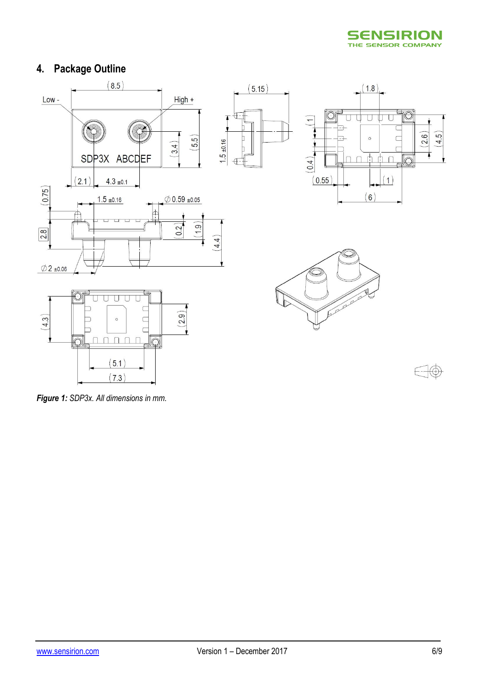

# <span id="page-5-0"></span>**4. Package Outline**



*Figure 1: SDP3x. All dimensions in mm.*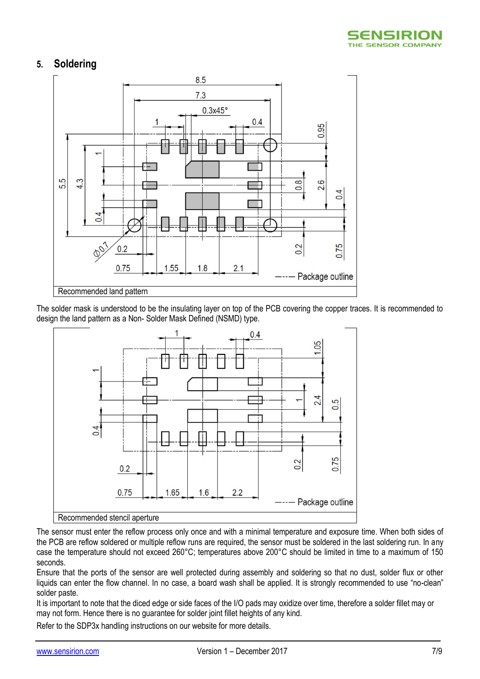

## <span id="page-6-0"></span>**5. Soldering**



The solder mask is understood to be the insulating layer on top of the PCB covering the copper traces. It is recommended to design the land pattern as a Non- Solder Mask Defined (NSMD) type.



The sensor must enter the reflow process only once and with a minimal temperature and exposure time. When both sides of the PCB are reflow soldered or multiple reflow runs are required, the sensor must be soldered in the last soldering run. In any case the temperature should not exceed 260°C; temperatures above 200°C should be limited in time to a maximum of 150 seconds.

Ensure that the ports of the sensor are well protected during assembly and soldering so that no dust, solder flux or other liquids can enter the flow channel. In no case, a board wash shall be applied. It is strongly recommended to use "no-clean" solder paste.

It is important to note that the diced edge or side faces of the I/O pads may oxidize over time, therefore a solder fillet may or may not form. Hence there is no guarantee for solder joint fillet heights of any kind.

Refer to the SDP3x handling instructions on our website for more details.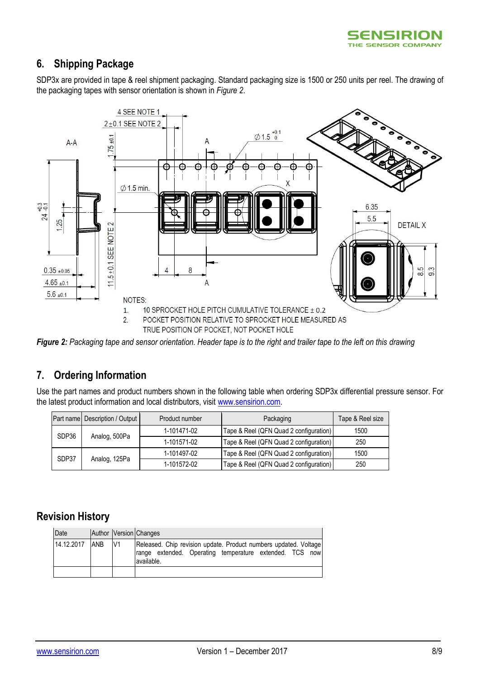

### <span id="page-7-0"></span>**6. Shipping Package**

SDP3x are provided in tape & reel shipment packaging. Standard packaging size is 1500 or 250 units per reel. The drawing of the packaging tapes with sensor orientation is shown in *[Figure 2](#page-7-3)*.



<span id="page-7-3"></span>*Figure 2: Packaging tape and sensor orientation. Header tape is to the right and trailer tape to the left on this drawing*

### <span id="page-7-1"></span>**7. Ordering Information**

Use the part names and product numbers shown in the following table when ordering SDP3x differential pressure sensor. For the latest product information and local distributors, visit [www.sensirion.com.](http://www.sensirion.com/)

|  |       | Part name Description / Output | Product number | Packaging                              | Tape & Reel size |
|--|-------|--------------------------------|----------------|----------------------------------------|------------------|
|  | SDP36 | Analog, 500Pa                  | 1-101471-02    | Tape & Reel (QFN Quad 2 configuration) | 1500             |
|  |       |                                | 1-101571-02    | Tape & Reel (QFN Quad 2 configuration) | 250              |
|  | SDP37 | Analog, 125Pa                  | 1-101497-02    | Tape & Reel (QFN Quad 2 configuration) | 1500             |
|  |       |                                | 1-101572-02    | Tape & Reel (QFN Quad 2 configuration) | 250              |

### <span id="page-7-2"></span>**Revision History**

| Date       |            |                | Author Version Changes                                                                                                                    |
|------------|------------|----------------|-------------------------------------------------------------------------------------------------------------------------------------------|
| 14.12.2017 | <b>ANB</b> | V <sub>1</sub> | Released. Chip revision update. Product numbers updated. Voltage<br>range extended. Operating temperature extended. TCS now<br>available. |
|            |            |                |                                                                                                                                           |